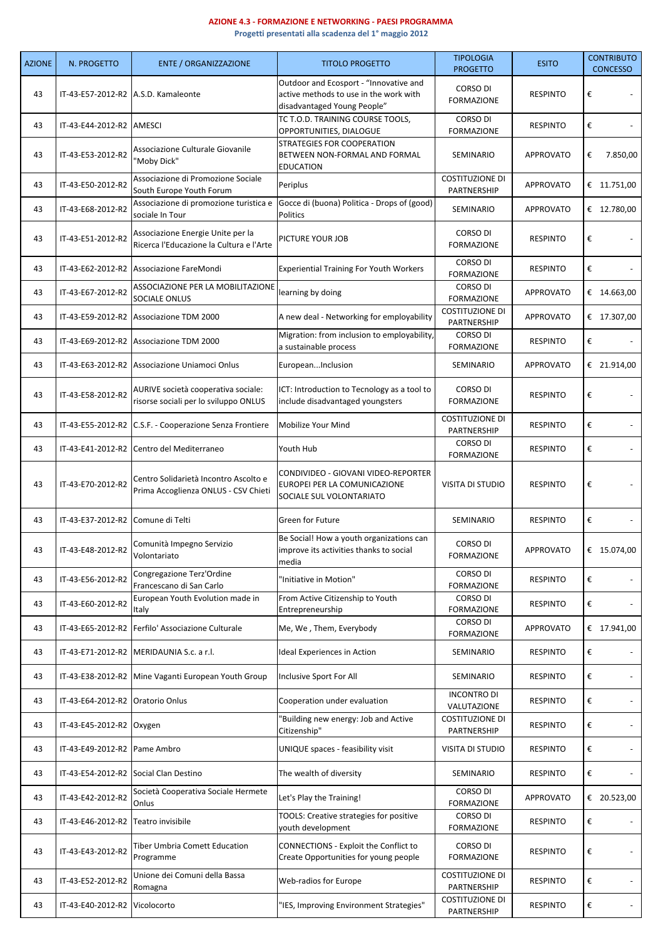## **AZIONE 4.3 - FORMAZIONE E NETWORKING - PAESI PROGRAMMA**

**Progetti presentati alla scadenza del 1° maggio 2012**

| <b>AZIONE</b> | N. PROGETTO                         | <b>ENTE / ORGANIZZAZIONE</b>                                                  | <b>TITOLO PROGETTO</b>                                                                                          | <b>TIPOLOGIA</b><br><b>PROGETTO</b>   | <b>ESITO</b>     | <b>CONTRIBUTO</b><br><b>CONCESSO</b> |
|---------------|-------------------------------------|-------------------------------------------------------------------------------|-----------------------------------------------------------------------------------------------------------------|---------------------------------------|------------------|--------------------------------------|
| 43            | IT-43-E57-2012-R2 A.S.D. Kamaleonte |                                                                               | Outdoor and Ecosport - "Innovative and<br>active methods to use in the work with<br>disadvantaged Young People" | CORSO DI<br><b>FORMAZIONE</b>         | <b>RESPINTO</b>  | €                                    |
| 43            | IT-43-E44-2012-R2   AMESCI          |                                                                               | TC T.O.D. TRAINING COURSE TOOLS,<br>OPPORTUNITIES, DIALOGUE                                                     | CORSO DI<br><b>FORMAZIONE</b>         | <b>RESPINTO</b>  | €                                    |
| 43            | IT-43-E53-2012-R2                   | Associazione Culturale Giovanile<br>"Moby Dick"                               | STRATEGIES FOR COOPERATION<br>BETWEEN NON-FORMAL AND FORMAL<br><b>EDUCATION</b>                                 | SEMINARIO                             | <b>APPROVATO</b> | 7.850,00<br>€                        |
| 43            | IT-43-E50-2012-R2                   | Associazione di Promozione Sociale<br>South Europe Youth Forum                | Periplus                                                                                                        | <b>COSTITUZIONE DI</b><br>PARTNERSHIP | <b>APPROVATO</b> | € 11.751,00                          |
| 43            | IT-43-E68-2012-R2                   | Associazione di promozione turistica e<br>sociale In Tour                     | Gocce di (buona) Politica - Drops of (good)<br>Politics                                                         | SEMINARIO                             | <b>APPROVATO</b> | € 12.780,00                          |
| 43            | IT-43-E51-2012-R2                   | Associazione Energie Unite per la<br>Ricerca l'Educazione la Cultura e l'Arte | PICTURE YOUR JOB                                                                                                | CORSO DI<br><b>FORMAZIONE</b>         | <b>RESPINTO</b>  | €                                    |
| 43            | IT-43-E62-2012-R2                   | Associazione FareMondi                                                        | <b>Experiential Training For Youth Workers</b>                                                                  | CORSO DI<br><b>FORMAZIONE</b>         | <b>RESPINTO</b>  | €                                    |
| 43            | IT-43-E67-2012-R2                   | ASSOCIAZIONE PER LA MOBILITAZIONE<br>SOCIALE ONLUS                            | learning by doing                                                                                               | CORSO DI<br><b>FORMAZIONE</b>         | <b>APPROVATO</b> | € 14.663,00                          |
| 43            |                                     | IT-43-E59-2012-R2 Associazione TDM 2000                                       | A new deal - Networking for employability                                                                       | <b>COSTITUZIONE DI</b><br>PARTNERSHIP | <b>APPROVATO</b> | € 17.307,00                          |
| 43            |                                     | IT-43-E69-2012-R2 Associazione TDM 2000                                       | Migration: from inclusion to employability,<br>a sustainable process                                            | <b>CORSO DI</b><br><b>FORMAZIONE</b>  | <b>RESPINTO</b>  | €                                    |
| 43            |                                     | IT-43-E63-2012-R2   Associazione Uniamoci Onlus                               | EuropeanInclusion                                                                                               | SEMINARIO                             | <b>APPROVATO</b> | € 21.914,00                          |
| 43            | IT-43-E58-2012-R2                   | AURIVE società cooperativa sociale:<br>risorse sociali per lo sviluppo ONLUS  | ICT: Introduction to Tecnology as a tool to<br>include disadvantaged youngsters                                 | CORSO DI<br><b>FORMAZIONE</b>         | <b>RESPINTO</b>  | €                                    |
| 43            |                                     | IT-43-E55-2012-R2   C.S.F. - Cooperazione Senza Frontiere                     | Mobilize Your Mind                                                                                              | <b>COSTITUZIONE DI</b><br>PARTNERSHIP | <b>RESPINTO</b>  | €                                    |
| 43            | IT-43-E41-2012-R2                   | Centro del Mediterraneo                                                       | Youth Hub                                                                                                       | CORSO DI<br><b>FORMAZIONE</b>         | <b>RESPINTO</b>  | €                                    |
| 43            | IT-43-E70-2012-R2                   | Centro Solidarietà Incontro Ascolto e<br>Prima Accoglienza ONLUS - CSV Chieti | CONDIVIDEO - GIOVANI VIDEO-REPORTER<br>EUROPEI PER LA COMUNICAZIONE<br>SOCIALE SUL VOLONTARIATO                 | VISITA DI STUDIO                      | <b>RESPINTO</b>  | €                                    |
| 43            | IT-43-E37-2012-R2 Comune di Telti   |                                                                               | Green for Future                                                                                                | SEMINARIO                             | <b>RESPINTO</b>  | €                                    |
| 43            | IT-43-E48-2012-R2                   | Comunità Impegno Servizio<br>Volontariato                                     | Be Social! How a youth organizations can<br>improve its activities thanks to social<br>media                    | CORSO DI<br><b>FORMAZIONE</b>         | APPROVATO        | € 15.074.00                          |
| 43            | IT-43-E56-2012-R2                   | Congregazione Terz'Ordine<br>Francescano di San Carlo                         | 'Initiative in Motion"                                                                                          | <b>CORSO DI</b><br><b>FORMAZIONE</b>  | <b>RESPINTO</b>  | €                                    |
| 43            | IT-43-E60-2012-R2                   | European Youth Evolution made in<br>Italy                                     | From Active Citizenship to Youth<br>Entrepreneurship                                                            | CORSO DI<br><b>FORMAZIONE</b>         | <b>RESPINTO</b>  | €                                    |
| 43            |                                     | IT-43-E65-2012-R2 Ferfilo' Associazione Culturale                             | Me, We, Them, Everybody                                                                                         | CORSO DI<br><b>FORMAZIONE</b>         | <b>APPROVATO</b> | € 17.941,00                          |
| 43            |                                     | IT-43-E71-2012-R2   MERIDAUNIA S.c. a r.l.                                    | <b>Ideal Experiences in Action</b>                                                                              | SEMINARIO                             | <b>RESPINTO</b>  | €                                    |
| 43            | IT-43-E38-2012-R2                   | Mine Vaganti European Youth Group                                             | Inclusive Sport For All                                                                                         | SEMINARIO                             | <b>RESPINTO</b>  | €                                    |
| 43            | IT-43-E64-2012-R2 Oratorio Onlus    |                                                                               | Cooperation under evaluation                                                                                    | <b>INCONTRO DI</b><br>VALUTAZIONE     | <b>RESPINTO</b>  | €                                    |
| 43            | IT-43-E45-2012-R2 Oxygen            |                                                                               | "Building new energy: Job and Active<br>Citizenship"                                                            | <b>COSTITUZIONE DI</b><br>PARTNERSHIP | <b>RESPINTO</b>  | €                                    |
| 43            | IT-43-E49-2012-R2 Pame Ambro        |                                                                               | UNIQUE spaces - feasibility visit                                                                               | VISITA DI STUDIO                      | <b>RESPINTO</b>  | €                                    |
| 43            |                                     | IT-43-E54-2012-R2 Social Clan Destino                                         | The wealth of diversity                                                                                         | SEMINARIO                             | <b>RESPINTO</b>  | €                                    |
| 43            | IT-43-E42-2012-R2                   | Società Cooperativa Sociale Hermete<br>Onlus                                  | Let's Play the Training!                                                                                        | CORSO DI<br><b>FORMAZIONE</b>         | APPROVATO        | € 20.523,00                          |
| 43            | IT-43-E46-2012-R2                   | Teatro invisibile                                                             | TOOLS: Creative strategies for positive<br>youth development                                                    | CORSO DI<br><b>FORMAZIONE</b>         | <b>RESPINTO</b>  | €                                    |
| 43            | IT-43-E43-2012-R2                   | Tiber Umbria Comett Education<br>Programme                                    | CONNECTIONS - Exploit the Conflict to<br>Create Opportunities for young people                                  | CORSO DI<br><b>FORMAZIONE</b>         | <b>RESPINTO</b>  | €                                    |
| 43            | IT-43-E52-2012-R2                   | Unione dei Comuni della Bassa<br>Romagna                                      | Web-radios for Europe                                                                                           | <b>COSTITUZIONE DI</b><br>PARTNERSHIP | <b>RESPINTO</b>  | €                                    |
| 43            | IT-43-E40-2012-R2 Vicolocorto       |                                                                               | "IES, Improving Environment Strategies"                                                                         | <b>COSTITUZIONE DI</b><br>PARTNERSHIP | <b>RESPINTO</b>  | €                                    |